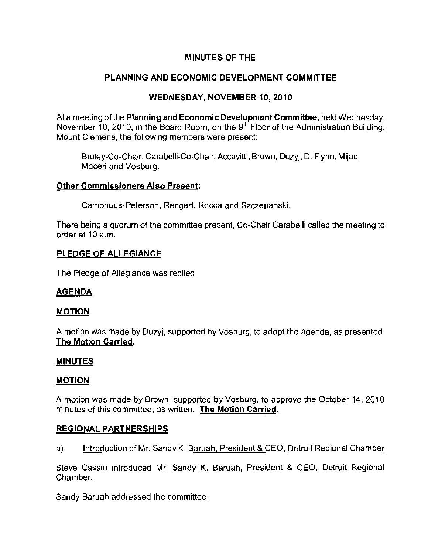## MINUTES OF THE

## PLANNING AND ECONOMIC DEVELOPMENT COMMITTEE

## WEDNESDAY, NOVEMBER 10, 2010

At a meeting of the Planning and Economic Development Committee, held Wednesday, November 10, 2010, in the Board Room, on the 9<sup>th</sup> Floor of the Administration Building, **Mount Clemens, the following members were present:** 

Bruley-Co-Chair, Carabelli-Co-Chair, Accavitti, Brown, Duzyj, D. Flynn, Mijac, **Moceri and Vosburg.** 

### **Other Commissioners Also Present:**

Camphous-Peterson, Rengert, Rocca and Szczepanski.

There being a quorum of the committee present, Co-Chair Carabelli called the meeting to order at 10 a.m.

### PLEDGE OF ALLEGIANCE

The Pledge of Allegiance was recited.

## AGENDA

#### MOTION

A motion was made by Duzyj, supported by Vosburg, to adopt the agenda, as presented The Motion Carried.

#### MINUTES

#### MOTION

A motion was made by Brown, supported by Vosburg, to approve the October 14, 2010 **minutes of this committee, as written. The Motion Carried.** 

## REGIONAL PARTNERSHIPS

## a) Introduction of Mr. Sandy K. Baruah, President & CEO, Detroit Regional Chamber

Steve Cassin introduced Mr. Sandy K. Baruah, President & CEO, Detroit Regional Chamber.

Sandy Baruah addressed the committee.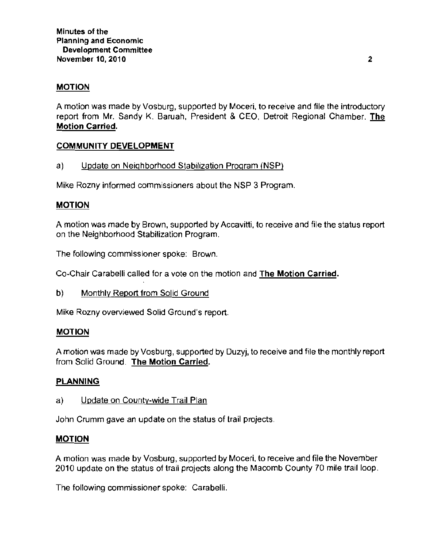## **MOTION**

A motion was made by Vosburg, supported by Moceri. to receive and file the introductory report from Mr. Sandy K. Baruah, President & CEO. Detroit Regional Chamber. The Motion Carried.

## **COMMUNITY DEVELOPMENT**

### a) Update on Neighborhood Stabilization Program (NSP)

Mike Rozny informed commissioners about the NSP 3 Program.

## **MOTION**

**A motion was made by Brown, supported by Accavitti, to receive and file the status report**  on the Neighborhood Stabilization Program.

**The following commissioner spoke: Brown.** 

Co-Chair Carabelli called for a vote on the motion and The Motion Carried.

b) Monthly Report from Solid Ground

Mike Rozny overviewed Solid Ground's report.

#### **MOTION**

A motion was made by Vosburg, supported by Duzyj, to receive and file the monthly report from Solid Ground. The Motion Carried.

## **PLANNING**

a) Update on County-wide Trail Plan

**John Crumm gave an update on the status of trail projects.** 

#### **MOTION**

A motion was made by Vosburg, supported by Moceri, to receive and file the November 2010 update on the status of trail projects along the Macomb County 70 mile trail loop.

**The following commissioner spoke: Carabelli.**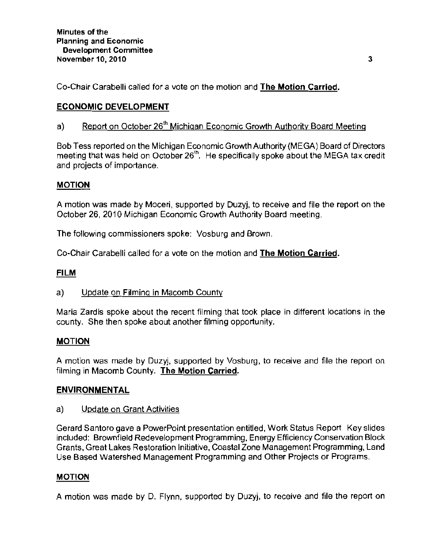Co-Chair Carabelli called for a vote on the motion and **The Motion Carried.** 

# **ECONOMIC DEVELOPMENT**

# a) Report on October 26<sup>th</sup> Michigan Economic Growth Authority Board Meeting

Bob Tess reported on the Michigan Economic Growth Authority (MEGA) Board of Directors meeting that was held on October 26<sup>th</sup>. He specifically spoke about the MEGA tax credit and projects of importance.

# **MOTION**

A motion was made by Moceri, supported by Duzyj, to receive and file the report on the October 26, 2010 Michigan Economic Growth Authority Board meeting.

**The following commissioners spoke: Vosburg and Brown.** 

Co-Chair Carabelli called for a vote on the motion and The Motion Carried.

## **FILM**

# a) Update on Filming in Macomb County

Maria Zardis spoke about the recent filming that took place in different locations in the county. She then spoke about another filming opportunity.

# **MOTION**

A motion was made by Duzyj, supported by Vosburg, to receive and file the report on filming in Macomb County. The Motion Carried.

# **ENVIRONMENTAL**

## a) Update on Grant Activities

Gerard Santoro gave a PowerPoint presentation entitled, Work Status Report Key slides included: Brownfield Redevelopment Programming, Energy Efficiency Conservation Block Grants, Great Lakes Restoration Initiative, Coastal Zone Management Programming, Land Use Based Watershed Management Programming and Other Projects or Programs.

# **MOTION**

A motion was made by D. Flynn, supported by Duzyj, to receive and file the report on